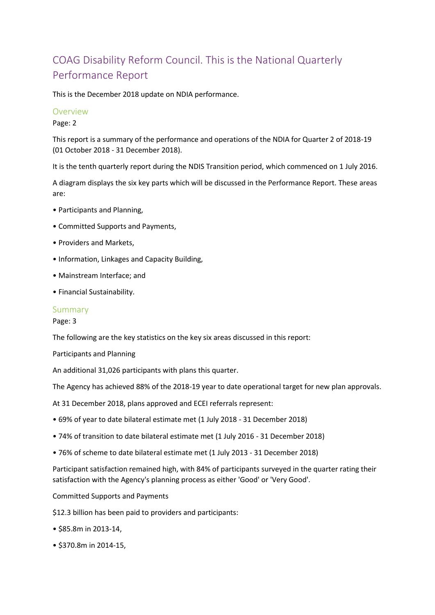# COAG Disability Reform Council. This is the National Quarterly Performance Report

This is the December 2018 update on NDIA performance.

## Overview

Page: 2

This report is a summary of the performance and operations of the NDIA for Quarter 2 of 2018-19 (01 October 2018 - 31 December 2018).

It is the tenth quarterly report during the NDIS Transition period, which commenced on 1 July 2016.

A diagram displays the six key parts which will be discussed in the Performance Report. These areas are:

- Participants and Planning,
- Committed Supports and Payments,
- Providers and Markets,
- Information, Linkages and Capacity Building,
- Mainstream Interface; and
- Financial Sustainability.

#### Summary

Page: 3

The following are the key statistics on the key six areas discussed in this report:

Participants and Planning

An additional 31,026 participants with plans this quarter.

The Agency has achieved 88% of the 2018-19 year to date operational target for new plan approvals.

At 31 December 2018, plans approved and ECEI referrals represent:

- 69% of year to date bilateral estimate met (1 July 2018 31 December 2018)
- 74% of transition to date bilateral estimate met (1 July 2016 31 December 2018)
- 76% of scheme to date bilateral estimate met (1 July 2013 31 December 2018)

Participant satisfaction remained high, with 84% of participants surveyed in the quarter rating their satisfaction with the Agency's planning process as either 'Good' or 'Very Good'.

Committed Supports and Payments

\$12.3 billion has been paid to providers and participants:

- \$85.8m in 2013-14,
- \$370.8m in 2014-15,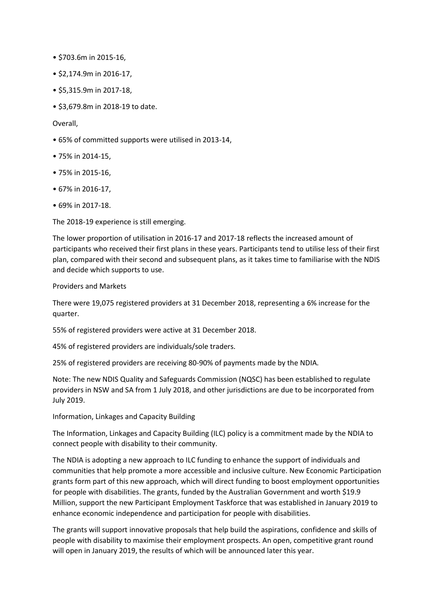- \$703.6m in 2015-16,
- \$2,174.9m in 2016-17,
- \$5,315.9m in 2017-18,
- \$3,679.8m in 2018-19 to date.

Overall,

- 65% of committed supports were utilised in 2013-14,
- 75% in 2014-15,
- 75% in 2015-16,
- 67% in 2016-17,
- 69% in 2017-18.

The 2018-19 experience is still emerging.

The lower proportion of utilisation in 2016-17 and 2017-18 reflects the increased amount of participants who received their first plans in these years. Participants tend to utilise less of their first plan, compared with their second and subsequent plans, as it takes time to familiarise with the NDIS and decide which supports to use.

#### Providers and Markets

There were 19,075 registered providers at 31 December 2018, representing a 6% increase for the quarter.

55% of registered providers were active at 31 December 2018.

45% of registered providers are individuals/sole traders.

25% of registered providers are receiving 80-90% of payments made by the NDIA.

Note: The new NDIS Quality and Safeguards Commission (NQSC) has been established to regulate providers in NSW and SA from 1 July 2018, and other jurisdictions are due to be incorporated from July 2019.

Information, Linkages and Capacity Building

The Information, Linkages and Capacity Building (ILC) policy is a commitment made by the NDIA to connect people with disability to their community.

The NDIA is adopting a new approach to ILC funding to enhance the support of individuals and communities that help promote a more accessible and inclusive culture. New Economic Participation grants form part of this new approach, which will direct funding to boost employment opportunities for people with disabilities. The grants, funded by the Australian Government and worth \$19.9 Million, support the new Participant Employment Taskforce that was established in January 2019 to enhance economic independence and participation for people with disabilities.

The grants will support innovative proposals that help build the aspirations, confidence and skills of people with disability to maximise their employment prospects. An open, competitive grant round will open in January 2019, the results of which will be announced later this year.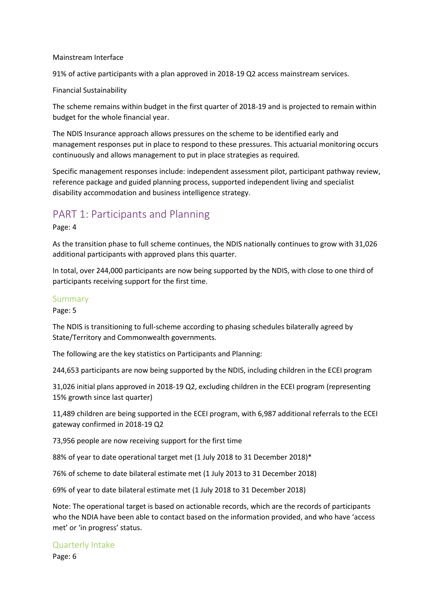#### Mainstream Interface

91% of active participants with a plan approved in 2018-19 Q2 access mainstream services.

#### Financial Sustainability

The scheme remains within budget in the first quarter of 2018-19 and is projected to remain within budget for the whole financial year.

The NDIS Insurance approach allows pressures on the scheme to be identified early and management responses put in place to respond to these pressures. This actuarial monitoring occurs continuously and allows management to put in place strategies as required.

Specific management responses include: independent assessment pilot, participant pathway review, reference package and guided planning process, supported independent living and specialist disability accommodation and business intelligence strategy.

## PART 1: Participants and Planning

Page: 4

As the transition phase to full scheme continues, the NDIS nationally continues to grow with 31,026 additional participants with approved plans this quarter.

In total, over 244,000 participants are now being supported by the NDIS, with close to one third of participants receiving support for the first time.

## Summary

Page: 5

The NDIS is transitioning to full-scheme according to phasing schedules bilaterally agreed by State/Territory and Commonwealth governments.

The following are the key statistics on Participants and Planning:

244,653 participants are now being supported by the NDIS, including children in the ECEI program

31,026 initial plans approved in 2018-19 Q2, excluding children in the ECEI program (representing 15% growth since last quarter)

11,489 children are being supported in the ECEI program, with 6,987 additional referrals to the ECEI gateway confirmed in 2018-19 Q2

73,956 people are now receiving support for the first time

88% of year to date operational target met (1 July 2018 to 31 December 2018)\*

76% of scheme to date bilateral estimate met (1 July 2013 to 31 December 2018)

69% of year to date bilateral estimate met (1 July 2018 to 31 December 2018)

Note: The operational target is based on actionable records, which are the records of participants who the NDIA have been able to contact based on the information provided, and who have 'access met' or 'in progress' status.

## Quarterly Intake

Page: 6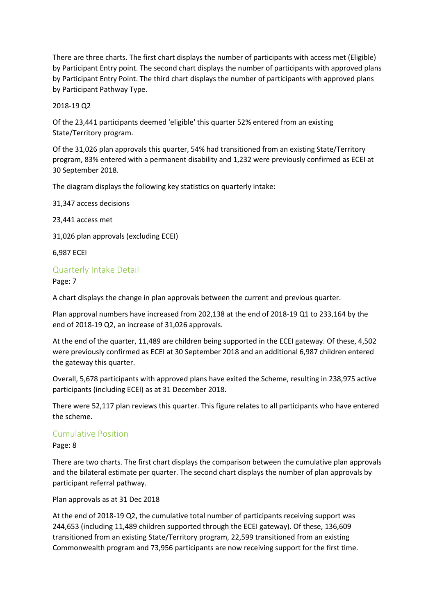There are three charts. The first chart displays the number of participants with access met (Eligible) by Participant Entry point. The second chart displays the number of participants with approved plans by Participant Entry Point. The third chart displays the number of participants with approved plans by Participant Pathway Type.

2018-19 Q2

Of the 23,441 participants deemed 'eligible' this quarter 52% entered from an existing State/Territory program.

Of the 31,026 plan approvals this quarter, 54% had transitioned from an existing State/Territory program, 83% entered with a permanent disability and 1,232 were previously confirmed as ECEI at 30 September 2018.

The diagram displays the following key statistics on quarterly intake:

31,347 access decisions

23,441 access met

31,026 plan approvals (excluding ECEI)

6,987 ECEI

## Quarterly Intake Detail

Page: 7

A chart displays the change in plan approvals between the current and previous quarter.

Plan approval numbers have increased from 202,138 at the end of 2018-19 Q1 to 233,164 by the end of 2018-19 Q2, an increase of 31,026 approvals.

At the end of the quarter, 11,489 are children being supported in the ECEI gateway. Of these, 4,502 were previously confirmed as ECEI at 30 September 2018 and an additional 6,987 children entered the gateway this quarter.

Overall, 5,678 participants with approved plans have exited the Scheme, resulting in 238,975 active participants (including ECEI) as at 31 December 2018.

There were 52,117 plan reviews this quarter. This figure relates to all participants who have entered the scheme.

## Cumulative Position

Page: 8

There are two charts. The first chart displays the comparison between the cumulative plan approvals and the bilateral estimate per quarter. The second chart displays the number of plan approvals by participant referral pathway.

Plan approvals as at 31 Dec 2018

At the end of 2018-19 Q2, the cumulative total number of participants receiving support was 244,653 (including 11,489 children supported through the ECEI gateway). Of these, 136,609 transitioned from an existing State/Territory program, 22,599 transitioned from an existing Commonwealth program and 73,956 participants are now receiving support for the first time.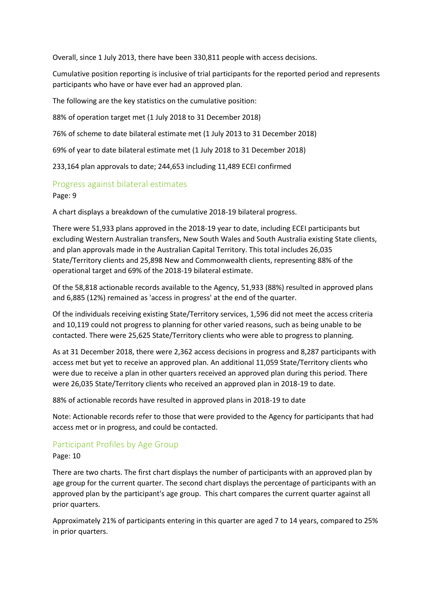Overall, since 1 July 2013, there have been 330,811 people with access decisions.

Cumulative position reporting is inclusive of trial participants for the reported period and represents participants who have or have ever had an approved plan.

The following are the key statistics on the cumulative position:

88% of operation target met (1 July 2018 to 31 December 2018)

76% of scheme to date bilateral estimate met (1 July 2013 to 31 December 2018)

69% of year to date bilateral estimate met (1 July 2018 to 31 December 2018)

233,164 plan approvals to date; 244,653 including 11,489 ECEI confirmed

## Progress against bilateral estimates

Page: 9

A chart displays a breakdown of the cumulative 2018-19 bilateral progress.

There were 51,933 plans approved in the 2018-19 year to date, including ECEI participants but excluding Western Australian transfers, New South Wales and South Australia existing State clients, and plan approvals made in the Australian Capital Territory. This total includes 26,035 State/Territory clients and 25,898 New and Commonwealth clients, representing 88% of the operational target and 69% of the 2018-19 bilateral estimate.

Of the 58,818 actionable records available to the Agency, 51,933 (88%) resulted in approved plans and 6,885 (12%) remained as 'access in progress' at the end of the quarter.

Of the individuals receiving existing State/Territory services, 1,596 did not meet the access criteria and 10,119 could not progress to planning for other varied reasons, such as being unable to be contacted. There were 25,625 State/Territory clients who were able to progress to planning.

As at 31 December 2018, there were 2,362 access decisions in progress and 8,287 participants with access met but yet to receive an approved plan. An additional 11,059 State/Territory clients who were due to receive a plan in other quarters received an approved plan during this period. There were 26,035 State/Territory clients who received an approved plan in 2018-19 to date.

88% of actionable records have resulted in approved plans in 2018-19 to date

Note: Actionable records refer to those that were provided to the Agency for participants that had access met or in progress, and could be contacted.

## Participant Profiles by Age Group

Page: 10

There are two charts. The first chart displays the number of participants with an approved plan by age group for the current quarter. The second chart displays the percentage of participants with an approved plan by the participant's age group. This chart compares the current quarter against all prior quarters.

Approximately 21% of participants entering in this quarter are aged 7 to 14 years, compared to 25% in prior quarters.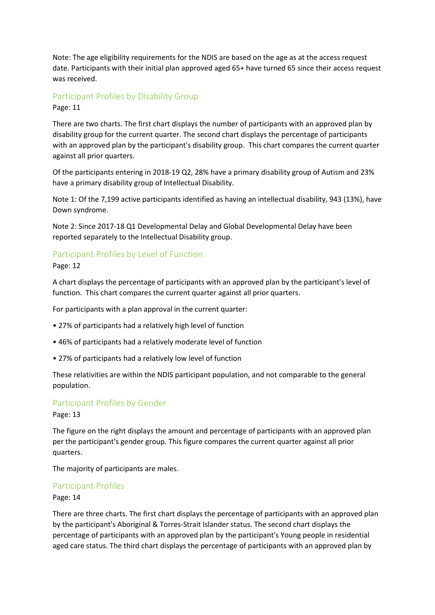Note: The age eligibility requirements for the NDIS are based on the age as at the access request date. Participants with their initial plan approved aged 65+ have turned 65 since their access request was received.

## Participant Profiles by Disability Group

Page: 11

There are two charts. The first chart displays the number of participants with an approved plan by disability group for the current quarter. The second chart displays the percentage of participants with an approved plan by the participant's disability group. This chart compares the current quarter against all prior quarters.

Of the participants entering in 2018-19 Q2, 28% have a primary disability group of Autism and 23% have a primary disability group of Intellectual Disability.

Note 1: Of the 7,199 active participants identified as having an intellectual disability, 943 (13%), have Down syndrome.

Note 2: Since 2017-18 Q1 Developmental Delay and Global Developmental Delay have been reported separately to the Intellectual Disability group.

## Participant Profiles by Level of Function

#### Page: 12

A chart displays the percentage of participants with an approved plan by the participant's level of function. This chart compares the current quarter against all prior quarters.

For participants with a plan approval in the current quarter:

- 27% of participants had a relatively high level of function
- 46% of participants had a relatively moderate level of function
- 27% of participants had a relatively low level of function

These relativities are within the NDIS participant population, and not comparable to the general population.

## Participant Profiles by Gender

Page: 13

The figure on the right displays the amount and percentage of participants with an approved plan per the participant's gender group. This figure compares the current quarter against all prior quarters.

The majority of participants are males.

## Participant Profiles

#### Page: 14

There are three charts. The first chart displays the percentage of participants with an approved plan by the participant's Aboriginal & Torres-Strait Islander status. The second chart displays the percentage of participants with an approved plan by the participant's Young people in residential aged care status. The third chart displays the percentage of participants with an approved plan by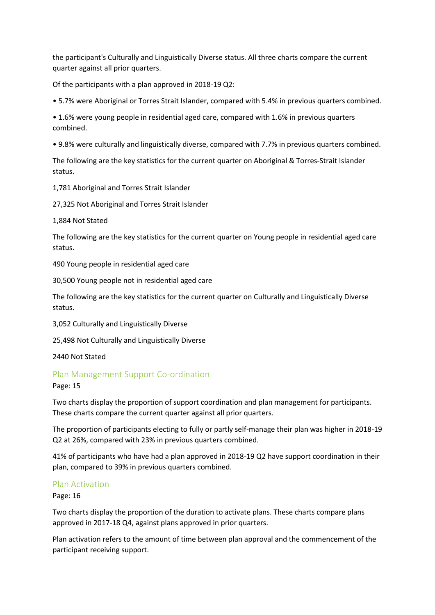the participant's Culturally and Linguistically Diverse status. All three charts compare the current quarter against all prior quarters.

Of the participants with a plan approved in 2018-19 Q2:

• 5.7% were Aboriginal or Torres Strait Islander, compared with 5.4% in previous quarters combined.

• 1.6% were young people in residential aged care, compared with 1.6% in previous quarters combined.

• 9.8% were culturally and linguistically diverse, compared with 7.7% in previous quarters combined.

The following are the key statistics for the current quarter on Aboriginal & Torres-Strait Islander status.

1,781 Aboriginal and Torres Strait Islander

27,325 Not Aboriginal and Torres Strait Islander

1,884 Not Stated

The following are the key statistics for the current quarter on Young people in residential aged care status.

490 Young people in residential aged care

30,500 Young people not in residential aged care

The following are the key statistics for the current quarter on Culturally and Linguistically Diverse status.

3,052 Culturally and Linguistically Diverse

25,498 Not Culturally and Linguistically Diverse

2440 Not Stated

## Plan Management Support Co-ordination

Page: 15

Two charts display the proportion of support coordination and plan management for participants. These charts compare the current quarter against all prior quarters.

The proportion of participants electing to fully or partly self-manage their plan was higher in 2018-19 Q2 at 26%, compared with 23% in previous quarters combined.

41% of participants who have had a plan approved in 2018-19 Q2 have support coordination in their plan, compared to 39% in previous quarters combined.

## Plan Activation

Page: 16

Two charts display the proportion of the duration to activate plans. These charts compare plans approved in 2017-18 Q4, against plans approved in prior quarters.

Plan activation refers to the amount of time between plan approval and the commencement of the participant receiving support.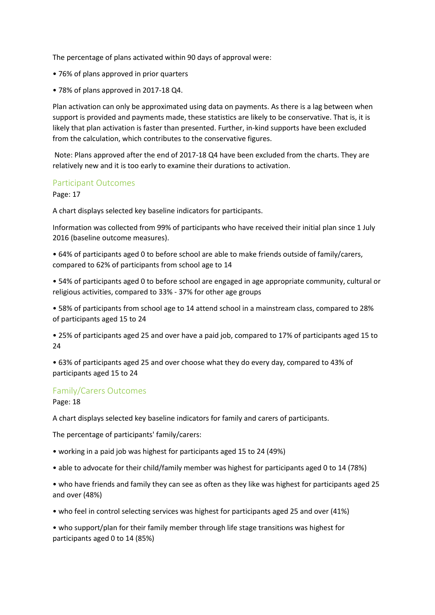The percentage of plans activated within 90 days of approval were:

- 76% of plans approved in prior quarters
- 78% of plans approved in 2017-18 Q4.

Plan activation can only be approximated using data on payments. As there is a lag between when support is provided and payments made, these statistics are likely to be conservative. That is, it is likely that plan activation is faster than presented. Further, in-kind supports have been excluded from the calculation, which contributes to the conservative figures.

Note: Plans approved after the end of 2017-18 Q4 have been excluded from the charts. They are relatively new and it is too early to examine their durations to activation.

#### Participant Outcomes

Page: 17

A chart displays selected key baseline indicators for participants.

Information was collected from 99% of participants who have received their initial plan since 1 July 2016 (baseline outcome measures).

• 64% of participants aged 0 to before school are able to make friends outside of family/carers, compared to 62% of participants from school age to 14

• 54% of participants aged 0 to before school are engaged in age appropriate community, cultural or religious activities, compared to 33% - 37% for other age groups

• 58% of participants from school age to 14 attend school in a mainstream class, compared to 28% of participants aged 15 to 24

• 25% of participants aged 25 and over have a paid job, compared to 17% of participants aged 15 to 24

• 63% of participants aged 25 and over choose what they do every day, compared to 43% of participants aged 15 to 24

## Family/Carers Outcomes

Page: 18

A chart displays selected key baseline indicators for family and carers of participants.

The percentage of participants' family/carers:

• working in a paid job was highest for participants aged 15 to 24 (49%)

• able to advocate for their child/family member was highest for participants aged 0 to 14 (78%)

• who have friends and family they can see as often as they like was highest for participants aged 25 and over (48%)

• who feel in control selecting services was highest for participants aged 25 and over (41%)

• who support/plan for their family member through life stage transitions was highest for participants aged 0 to 14 (85%)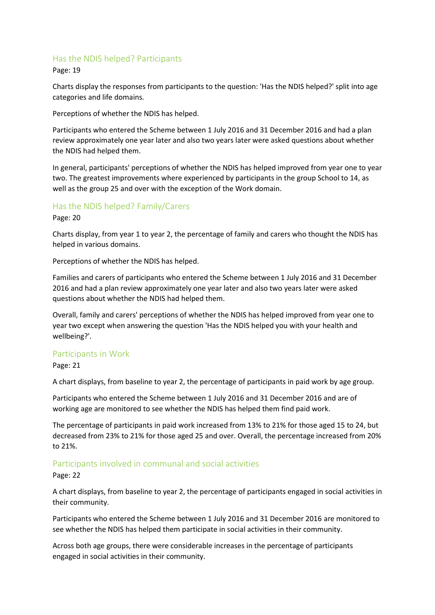## Has the NDIS helped? Participants

Page: 19

Charts display the responses from participants to the question: 'Has the NDIS helped?' split into age categories and life domains.

Perceptions of whether the NDIS has helped.

Participants who entered the Scheme between 1 July 2016 and 31 December 2016 and had a plan review approximately one year later and also two years later were asked questions about whether the NDIS had helped them.

In general, participants' perceptions of whether the NDIS has helped improved from year one to year two. The greatest improvements where experienced by participants in the group School to 14, as well as the group 25 and over with the exception of the Work domain.

## Has the NDIS helped? Family/Carers

Page: 20

Charts display, from year 1 to year 2, the percentage of family and carers who thought the NDIS has helped in various domains.

Perceptions of whether the NDIS has helped.

Families and carers of participants who entered the Scheme between 1 July 2016 and 31 December 2016 and had a plan review approximately one year later and also two years later were asked questions about whether the NDIS had helped them.

Overall, family and carers' perceptions of whether the NDIS has helped improved from year one to year two except when answering the question 'Has the NDIS helped you with your health and wellbeing?'.

## Participants in Work

Page: 21

A chart displays, from baseline to year 2, the percentage of participants in paid work by age group.

Participants who entered the Scheme between 1 July 2016 and 31 December 2016 and are of working age are monitored to see whether the NDIS has helped them find paid work.

The percentage of participants in paid work increased from 13% to 21% for those aged 15 to 24, but decreased from 23% to 21% for those aged 25 and over. Overall, the percentage increased from 20% to 21%.

## Participants involved in communal and social activities

#### Page: 22

A chart displays, from baseline to year 2, the percentage of participants engaged in social activities in their community.

Participants who entered the Scheme between 1 July 2016 and 31 December 2016 are monitored to see whether the NDIS has helped them participate in social activities in their community.

Across both age groups, there were considerable increases in the percentage of participants engaged in social activities in their community.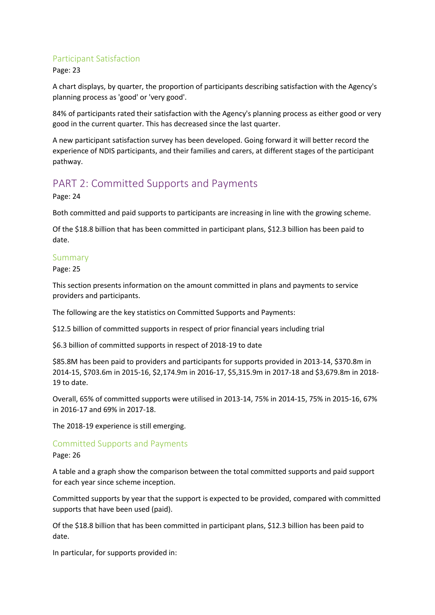## Participant Satisfaction

Page: 23

A chart displays, by quarter, the proportion of participants describing satisfaction with the Agency's planning process as 'good' or 'very good'.

84% of participants rated their satisfaction with the Agency's planning process as either good or very good in the current quarter. This has decreased since the last quarter.

A new participant satisfaction survey has been developed. Going forward it will better record the experience of NDIS participants, and their families and carers, at different stages of the participant pathway.

## PART 2: Committed Supports and Payments

Page: 24

Both committed and paid supports to participants are increasing in line with the growing scheme.

Of the \$18.8 billion that has been committed in participant plans, \$12.3 billion has been paid to date.

#### Summary

Page: 25

This section presents information on the amount committed in plans and payments to service providers and participants.

The following are the key statistics on Committed Supports and Payments:

\$12.5 billion of committed supports in respect of prior financial years including trial

\$6.3 billion of committed supports in respect of 2018-19 to date

\$85.8M has been paid to providers and participants for supports provided in 2013-14, \$370.8m in 2014-15, \$703.6m in 2015-16, \$2,174.9m in 2016-17, \$5,315.9m in 2017-18 and \$3,679.8m in 2018- 19 to date.

Overall, 65% of committed supports were utilised in 2013-14, 75% in 2014-15, 75% in 2015-16, 67% in 2016-17 and 69% in 2017-18.

The 2018-19 experience is still emerging.

## Committed Supports and Payments

Page: 26

A table and a graph show the comparison between the total committed supports and paid support for each year since scheme inception.

Committed supports by year that the support is expected to be provided, compared with committed supports that have been used (paid).

Of the \$18.8 billion that has been committed in participant plans, \$12.3 billion has been paid to date.

In particular, for supports provided in: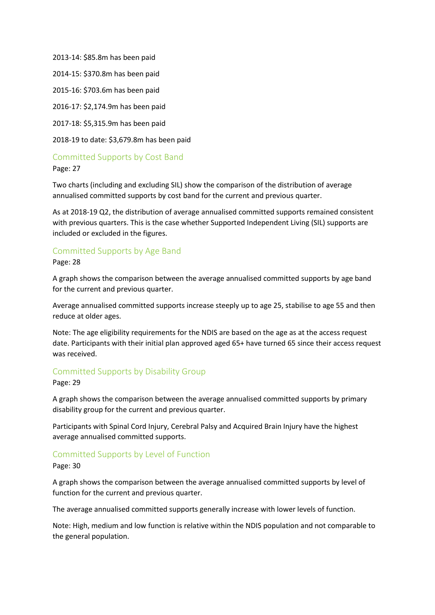2013-14: \$85.8m has been paid 2014-15: \$370.8m has been paid 2015-16: \$703.6m has been paid

2016-17: \$2,174.9m has been paid

2017-18: \$5,315.9m has been paid

2018-19 to date: \$3,679.8m has been paid

Committed Supports by Cost Band

Page: 27

Two charts (including and excluding SIL) show the comparison of the distribution of average annualised committed supports by cost band for the current and previous quarter.

As at 2018-19 Q2, the distribution of average annualised committed supports remained consistent with previous quarters. This is the case whether Supported Independent Living (SIL) supports are included or excluded in the figures.

## Committed Supports by Age Band

Page: 28

A graph shows the comparison between the average annualised committed supports by age band for the current and previous quarter.

Average annualised committed supports increase steeply up to age 25, stabilise to age 55 and then reduce at older ages.

Note: The age eligibility requirements for the NDIS are based on the age as at the access request date. Participants with their initial plan approved aged 65+ have turned 65 since their access request was received.

## Committed Supports by Disability Group

Page: 29

A graph shows the comparison between the average annualised committed supports by primary disability group for the current and previous quarter.

Participants with Spinal Cord Injury, Cerebral Palsy and Acquired Brain Injury have the highest average annualised committed supports.

## Committed Supports by Level of Function

Page: 30

A graph shows the comparison between the average annualised committed supports by level of function for the current and previous quarter.

The average annualised committed supports generally increase with lower levels of function.

Note: High, medium and low function is relative within the NDIS population and not comparable to the general population.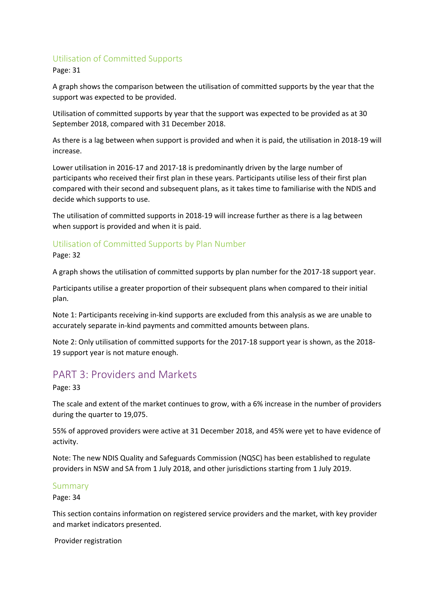## Utilisation of Committed Supports

Page: 31

A graph shows the comparison between the utilisation of committed supports by the year that the support was expected to be provided.

Utilisation of committed supports by year that the support was expected to be provided as at 30 September 2018, compared with 31 December 2018.

As there is a lag between when support is provided and when it is paid, the utilisation in 2018-19 will increase.

Lower utilisation in 2016-17 and 2017-18 is predominantly driven by the large number of participants who received their first plan in these years. Participants utilise less of their first plan compared with their second and subsequent plans, as it takes time to familiarise with the NDIS and decide which supports to use.

The utilisation of committed supports in 2018-19 will increase further as there is a lag between when support is provided and when it is paid.

## Utilisation of Committed Supports by Plan Number

Page: 32

A graph shows the utilisation of committed supports by plan number for the 2017-18 support year.

Participants utilise a greater proportion of their subsequent plans when compared to their initial plan.

Note 1: Participants receiving in-kind supports are excluded from this analysis as we are unable to accurately separate in-kind payments and committed amounts between plans.

Note 2: Only utilisation of committed supports for the 2017-18 support year is shown, as the 2018- 19 support year is not mature enough.

## PART 3: Providers and Markets

Page: 33

The scale and extent of the market continues to grow, with a 6% increase in the number of providers during the quarter to 19,075.

55% of approved providers were active at 31 December 2018, and 45% were yet to have evidence of activity.

Note: The new NDIS Quality and Safeguards Commission (NQSC) has been established to regulate providers in NSW and SA from 1 July 2018, and other jurisdictions starting from 1 July 2019.

## Summary

Page: 34

This section contains information on registered service providers and the market, with key provider and market indicators presented.

Provider registration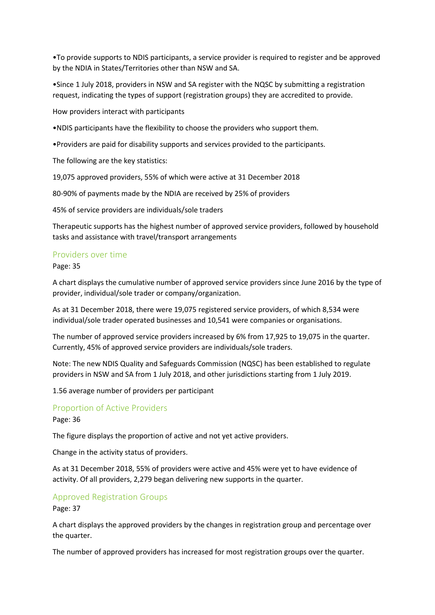•To provide supports to NDIS participants, a service provider is required to register and be approved by the NDIA in States/Territories other than NSW and SA.

•Since 1 July 2018, providers in NSW and SA register with the NQSC by submitting a registration request, indicating the types of support (registration groups) they are accredited to provide.

How providers interact with participants

•NDIS participants have the flexibility to choose the providers who support them.

•Providers are paid for disability supports and services provided to the participants.

The following are the key statistics:

19,075 approved providers, 55% of which were active at 31 December 2018

80-90% of payments made by the NDIA are received by 25% of providers

45% of service providers are individuals/sole traders

Therapeutic supports has the highest number of approved service providers, followed by household tasks and assistance with travel/transport arrangements

#### Providers over time

Page: 35

A chart displays the cumulative number of approved service providers since June 2016 by the type of provider, individual/sole trader or company/organization.

As at 31 December 2018, there were 19,075 registered service providers, of which 8,534 were individual/sole trader operated businesses and 10,541 were companies or organisations.

The number of approved service providers increased by 6% from 17,925 to 19,075 in the quarter. Currently, 45% of approved service providers are individuals/sole traders.

Note: The new NDIS Quality and Safeguards Commission (NQSC) has been established to regulate providers in NSW and SA from 1 July 2018, and other jurisdictions starting from 1 July 2019.

1.56 average number of providers per participant

## Proportion of Active Providers

Page: 36

The figure displays the proportion of active and not yet active providers.

Change in the activity status of providers.

As at 31 December 2018, 55% of providers were active and 45% were yet to have evidence of activity. Of all providers, 2,279 began delivering new supports in the quarter.

#### Approved Registration Groups

Page: 37

A chart displays the approved providers by the changes in registration group and percentage over the quarter.

The number of approved providers has increased for most registration groups over the quarter.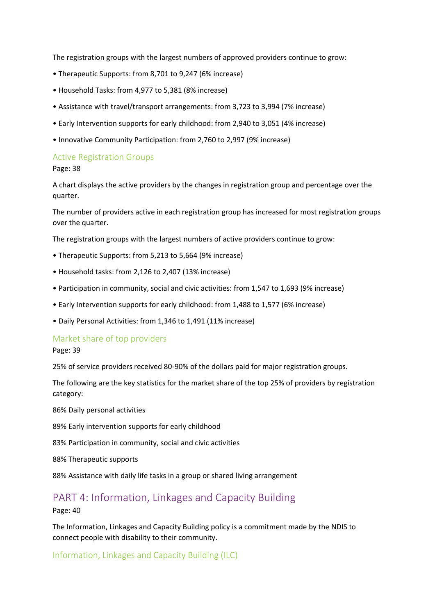The registration groups with the largest numbers of approved providers continue to grow:

- Therapeutic Supports: from 8,701 to 9,247 (6% increase)
- Household Tasks: from 4,977 to 5,381 (8% increase)
- Assistance with travel/transport arrangements: from 3,723 to 3,994 (7% increase)
- Early Intervention supports for early childhood: from 2,940 to 3,051 (4% increase)
- Innovative Community Participation: from 2,760 to 2,997 (9% increase)

#### Active Registration Groups

Page: 38

A chart displays the active providers by the changes in registration group and percentage over the quarter.

The number of providers active in each registration group has increased for most registration groups over the quarter.

The registration groups with the largest numbers of active providers continue to grow:

- Therapeutic Supports: from 5,213 to 5,664 (9% increase)
- Household tasks: from 2,126 to 2,407 (13% increase)
- Participation in community, social and civic activities: from 1,547 to 1,693 (9% increase)
- Early Intervention supports for early childhood: from 1,488 to 1,577 (6% increase)
- Daily Personal Activities: from 1,346 to 1,491 (11% increase)

#### Market share of top providers

Page: 39

25% of service providers received 80-90% of the dollars paid for major registration groups.

The following are the key statistics for the market share of the top 25% of providers by registration category:

86% Daily personal activities

89% Early intervention supports for early childhood

83% Participation in community, social and civic activities

88% Therapeutic supports

88% Assistance with daily life tasks in a group or shared living arrangement

# PART 4: Information, Linkages and Capacity Building

Page: 40

The Information, Linkages and Capacity Building policy is a commitment made by the NDIS to connect people with disability to their community.

Information, Linkages and Capacity Building (ILC)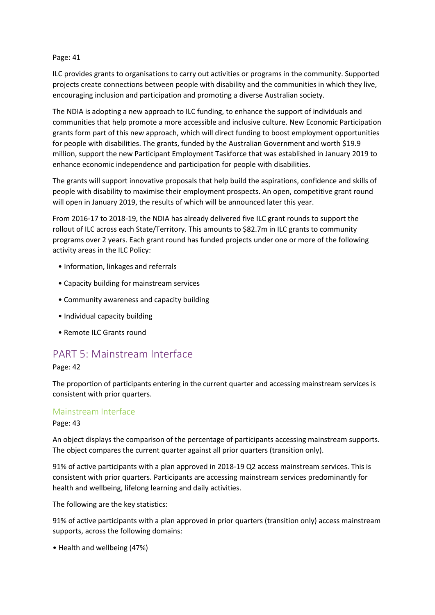#### Page: 41

ILC provides grants to organisations to carry out activities or programs in the community. Supported projects create connections between people with disability and the communities in which they live, encouraging inclusion and participation and promoting a diverse Australian society.

The NDIA is adopting a new approach to ILC funding, to enhance the support of individuals and communities that help promote a more accessible and inclusive culture. New Economic Participation grants form part of this new approach, which will direct funding to boost employment opportunities for people with disabilities. The grants, funded by the Australian Government and worth \$19.9 million, support the new Participant Employment Taskforce that was established in January 2019 to enhance economic independence and participation for people with disabilities.

The grants will support innovative proposals that help build the aspirations, confidence and skills of people with disability to maximise their employment prospects. An open, competitive grant round will open in January 2019, the results of which will be announced later this year.

From 2016-17 to 2018-19, the NDIA has already delivered five ILC grant rounds to support the rollout of ILC across each State/Territory. This amounts to \$82.7m in ILC grants to community programs over 2 years. Each grant round has funded projects under one or more of the following activity areas in the ILC Policy:

- Information, linkages and referrals
- Capacity building for mainstream services
- Community awareness and capacity building
- Individual capacity building
- Remote ILC Grants round

## PART 5: Mainstream Interface

Page: 42

The proportion of participants entering in the current quarter and accessing mainstream services is consistent with prior quarters.

## Mainstream Interface

#### Page: 43

An object displays the comparison of the percentage of participants accessing mainstream supports. The object compares the current quarter against all prior quarters (transition only).

91% of active participants with a plan approved in 2018-19 Q2 access mainstream services. This is consistent with prior quarters. Participants are accessing mainstream services predominantly for health and wellbeing, lifelong learning and daily activities.

The following are the key statistics:

91% of active participants with a plan approved in prior quarters (transition only) access mainstream supports, across the following domains:

• Health and wellbeing (47%)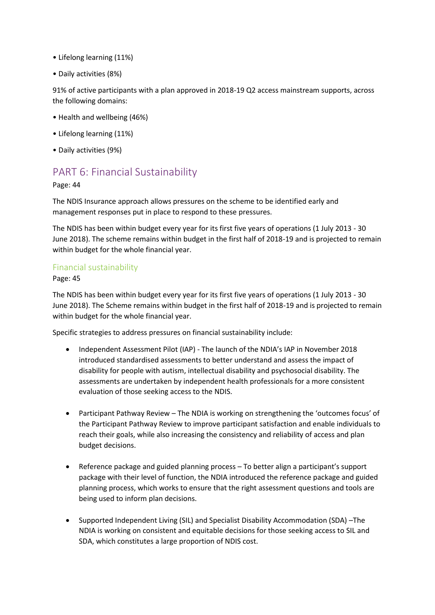- Lifelong learning (11%)
- Daily activities (8%)

91% of active participants with a plan approved in 2018-19 Q2 access mainstream supports, across the following domains:

- Health and wellbeing (46%)
- Lifelong learning (11%)
- Daily activities (9%)

# PART 6: Financial Sustainability

Page: 44

The NDIS Insurance approach allows pressures on the scheme to be identified early and management responses put in place to respond to these pressures.

The NDIS has been within budget every year for its first five years of operations (1 July 2013 - 30 June 2018). The scheme remains within budget in the first half of 2018-19 and is projected to remain within budget for the whole financial year.

## Financial sustainability

Page: 45

The NDIS has been within budget every year for its first five years of operations (1 July 2013 - 30 June 2018). The Scheme remains within budget in the first half of 2018-19 and is projected to remain within budget for the whole financial year.

Specific strategies to address pressures on financial sustainability include:

- Independent Assessment Pilot (IAP) The launch of the NDIA's IAP in November 2018 introduced standardised assessments to better understand and assess the impact of disability for people with autism, intellectual disability and psychosocial disability. The assessments are undertaken by independent health professionals for a more consistent evaluation of those seeking access to the NDIS.
- Participant Pathway Review The NDIA is working on strengthening the 'outcomes focus' of the Participant Pathway Review to improve participant satisfaction and enable individuals to reach their goals, while also increasing the consistency and reliability of access and plan budget decisions.
- Reference package and guided planning process To better align a participant's support package with their level of function, the NDIA introduced the reference package and guided planning process, which works to ensure that the right assessment questions and tools are being used to inform plan decisions.
- Supported Independent Living (SIL) and Specialist Disability Accommodation (SDA) –The NDIA is working on consistent and equitable decisions for those seeking access to SIL and SDA, which constitutes a large proportion of NDIS cost.